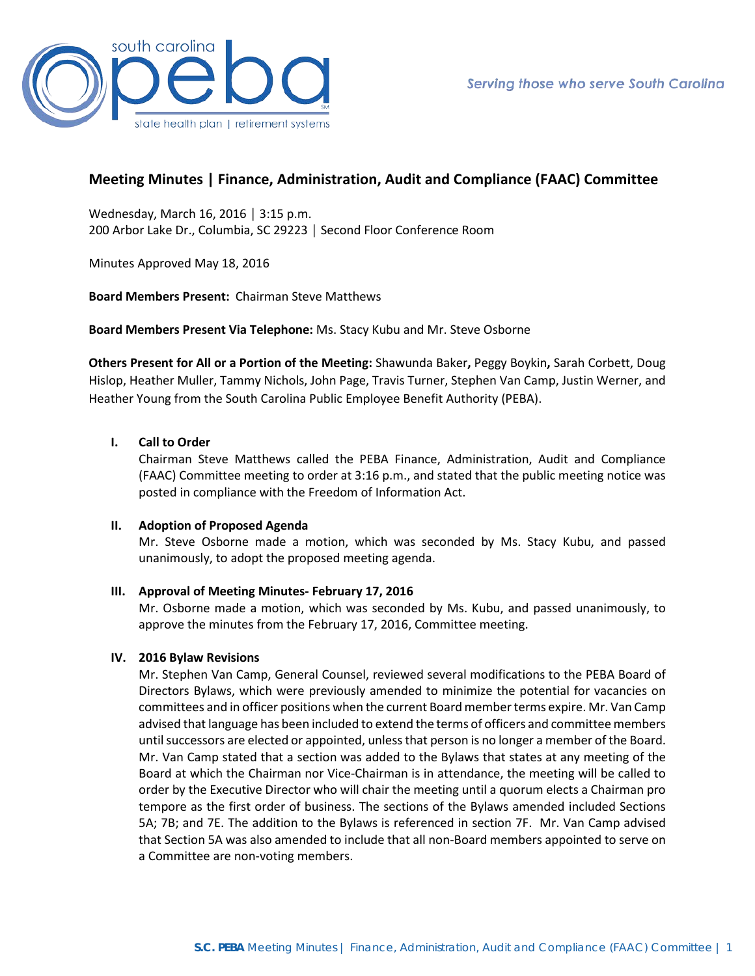

# **Meeting Minutes | Finance, Administration, Audit and Compliance (FAAC) Committee**

Wednesday, March 16, 2016 │ 3:15 p.m. 200 Arbor Lake Dr., Columbia, SC 29223 │ Second Floor Conference Room

Minutes Approved May 18, 2016

**Board Members Present:** Chairman Steve Matthews

**Board Members Present Via Telephone:** Ms. Stacy Kubu and Mr. Steve Osborne

**Others Present for All or a Portion of the Meeting:** Shawunda Baker**,** Peggy Boykin**,** Sarah Corbett, Doug Hislop, Heather Muller, Tammy Nichols, John Page, Travis Turner, Stephen Van Camp, Justin Werner, and Heather Young from the South Carolina Public Employee Benefit Authority (PEBA).

## **I. Call to Order**

Chairman Steve Matthews called the PEBA Finance, Administration, Audit and Compliance (FAAC) Committee meeting to order at 3:16 p.m., and stated that the public meeting notice was posted in compliance with the Freedom of Information Act.

#### **II. Adoption of Proposed Agenda**

Mr. Steve Osborne made a motion, which was seconded by Ms. Stacy Kubu, and passed unanimously, to adopt the proposed meeting agenda.

# **III. Approval of Meeting Minutes- February 17, 2016**

Mr. Osborne made a motion, which was seconded by Ms. Kubu, and passed unanimously, to approve the minutes from the February 17, 2016, Committee meeting.

#### **IV. 2016 Bylaw Revisions**

Mr. Stephen Van Camp, General Counsel, reviewed several modifications to the PEBA Board of Directors Bylaws, which were previously amended to minimize the potential for vacancies on committees and in officer positions when the current Board member terms expire. Mr. Van Camp advised that language has been included to extend the terms of officers and committee members until successors are elected or appointed, unless that person is no longer a member of the Board. Mr. Van Camp stated that a section was added to the Bylaws that states at any meeting of the Board at which the Chairman nor Vice-Chairman is in attendance, the meeting will be called to order by the Executive Director who will chair the meeting until a quorum elects a Chairman pro tempore as the first order of business. The sections of the Bylaws amended included Sections 5A; 7B; and 7E. The addition to the Bylaws is referenced in section 7F. Mr. Van Camp advised that Section 5A was also amended to include that all non-Board members appointed to serve on a Committee are non-voting members.